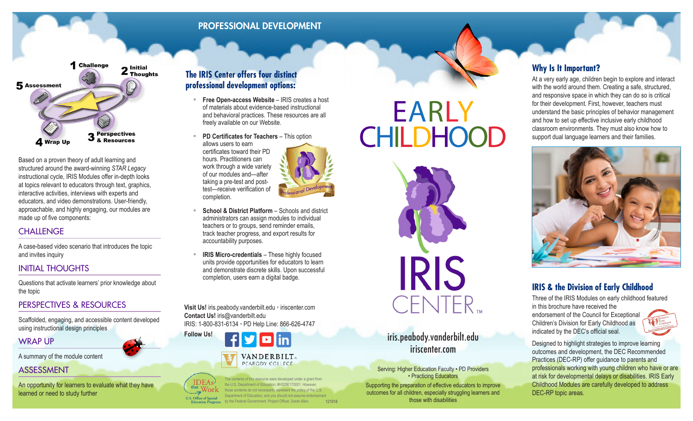# PROFESSIONAL DEVELOPMENT



Based on a proven theory of adult learning and structured around the award-winning *STAR Legacy*  instructional cycle, IRIS Modules offer in-depth looks at topics relevant to educators through text, graphics, interactive activities, interviews with experts and educators, and video demonstrations. User-friendly, approachable, and highly engaging, our modules are made up of five components:

#### **CHALLENGE**

A case-based video scenario that introduces the topic and invites inquiry

# INITIAL THOUGHTS

Questions that activate learners' prior knowledge about the topic

#### PERSPECTIVES & RESOURCES

Scaffolded, engaging, and accessible content developed using instructional design principles

# WRAP UP

A summary of the module content

#### ASSESSMENT

An opportunity for learners to evaluate what they have learned or need to study further

# **The IRIS Center offers four distinct professional development options:**

- **Free Open-access Website** IRIS creates a host of materials about evidence-based instructional and behavioral practices. These resources are all freely available on our Website.
- **PD Certificates for Teachers** This option allows users to earn certificates toward their PD

hours. Practitioners can work through a wide variety of our modules and—after taking a pre-test and posttest—receive verification of completion.

- **School & District Platform Schools and district** administrators can assign modules to individual teachers or to groups, send reminder emails, track teacher progress, and export results for accountability purposes.
- **IRIS Micro-credentials** These highly focused units provide opportunities for educators to learn and demonstrate discrete skills. Upon successful completion, users earn a digital badge.

**Visit Us!** iris.peabody.vanderbilt.edu • iriscenter.com **Contact Us!** iris@vanderbilt.edu IRIS: 1-800-831-6134 • PD Help Line: 866-626-4747





The contents of this resource were developed under a grant from **IDEAs** the U.S. Department of Education, #H325E170001. However those contents do not necessarily represent the policy of the U.S. Department of Education, and you should not assume endorsement **U.S. Office of Special<br>Education Programs** by the Federal Government. Project Officer, Sarah Allen*.*

# EARLY **CHILDHOOD**



**Follow Us!** iris.peabody.vanderbilt.edu iriscenter.com

> Serving: Higher Education Faculty • PD Providers • Practicing Educators

Supporting the preparation of effective educators to improve outcomes for all children, especially struggling learners and 121918 **those with disabilities** 

# **Why Is It Important?**

At a very early age, children begin to explore and interact with the world around them. Creating a safe, structured, and responsive space in which they can do so is critical for their development. First, however, teachers must understand the basic principles of behavior management and how to set up effective inclusive early childhood classroom environments. They must also know how to support dual language learners and their families.



# **IRIS & the Division of Early Childhood**

Three of the IRIS Modules on early childhood featured in this brochure have received the

endorsement of the Council for Exceptional Children's Division for Early Childhood as indicated by the DEC's official seal.



Designed to highlight strategies to improve learning outcomes and development, the DEC Recommended Practices (DEC-RP) offer guidance to parents and professionals working with young children who have or are at risk for developmental delays or disabilities. IRIS Early Childhood Modules are carefully developed to address DEC-RP topic areas.